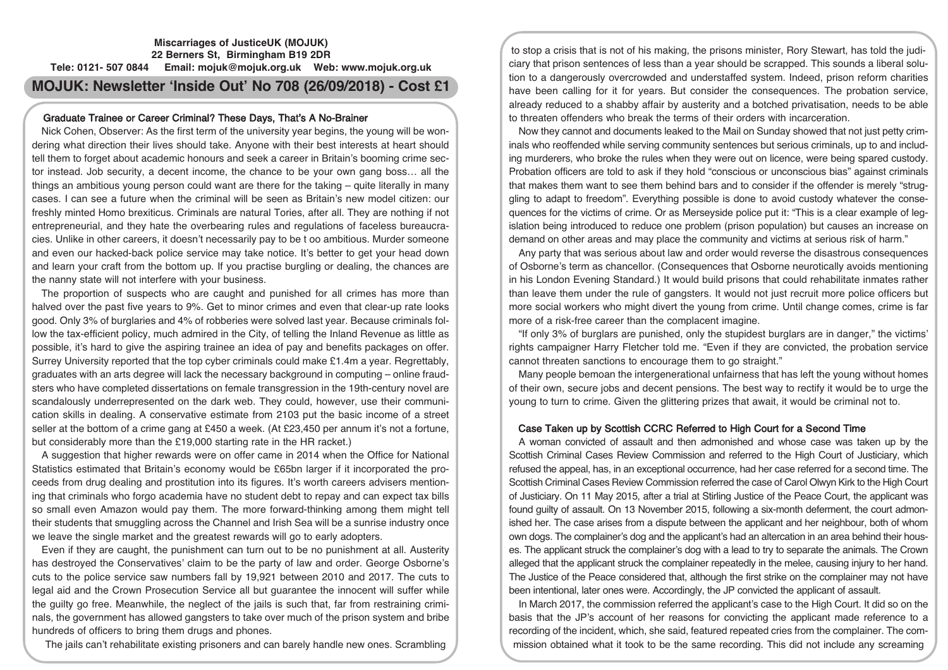## **Miscarriages of JusticeUK (MOJUK) 22 Berners St, Birmingham B19 2DR Tele: 0121- 507 0844 Email: mojuk@mojuk.org.uk Web: www.mojuk.org.uk**

# **MOJUK: Newsletter 'Inside Out' No 708 (26/09/2018) - Cost £1**

### Graduate Trainee or Career Criminal? These Days, That's A No-Brainer

Nick Cohen, Observer: As the first term of the university year begins, the young will be wondering what direction their lives should take. Anyone with their best interests at heart should tell them to forget about academic honours and seek a career in Britain's booming crime sector instead. Job security, a decent income, the chance to be your own gang boss… all the things an ambitious young person could want are there for the taking – quite literally in many cases. I can see a future when the criminal will be seen as Britain's new model citizen: our freshly minted Homo brexiticus. Criminals are natural Tories, after all. They are nothing if not entrepreneurial, and they hate the overbearing rules and regulations of faceless bureaucracies. Unlike in other careers, it doesn't necessarily pay to be t oo ambitious. Murder someone and even our hacked-back police service may take notice. It's better to get your head down and learn your craft from the bottom up. If you practise burgling or dealing, the chances are the nanny state will not interfere with your business.

The proportion of suspects who are caught and punished for all crimes has more than halved over the past five years to 9%. Get to minor crimes and even that clear-up rate looks good. Only 3% of burglaries and 4% of robberies were solved last year. Because criminals follow the tax-efficient policy, much admired in the City, of telling the Inland Revenue as little as possible, it's hard to give the aspiring trainee an idea of pay and benefits packages on offer. Surrey University reported that the top cyber criminals could make £1.4m a year. Regrettably, graduates with an arts degree will lack the necessary background in computing – online fraudsters who have completed dissertations on female transgression in the 19th-century novel are scandalously underrepresented on the dark web. They could, however, use their communication skills in dealing. A conservative estimate from 2103 put the basic income of a street seller at the bottom of a crime gang at £450 a week. (At £23,450 per annum it's not a fortune, but considerably more than the £19,000 starting rate in the HR racket.)

A suggestion that higher rewards were on offer came in 2014 when the Office for National Statistics estimated that Britain's economy would be £65bn larger if it incorporated the proceeds from drug dealing and prostitution into its figures. It's worth careers advisers mentioning that criminals who forgo academia have no student debt to repay and can expect tax bills so small even Amazon would pay them. The more forward-thinking among them might tell their students that smuggling across the Channel and Irish Sea will be a sunrise industry once we leave the single market and the greatest rewards will go to early adopters.

Even if they are caught, the punishment can turn out to be no punishment at all. Austerity has destroyed the Conservatives' claim to be the party of law and order. George Osborne's cuts to the police service saw numbers fall by 19,921 between 2010 and 2017. The cuts to legal aid and the Crown Prosecution Service all but guarantee the innocent will suffer while the guilty go free. Meanwhile, the neglect of the jails is such that, far from restraining criminals, the government has allowed gangsters to take over much of the prison system and bribe hundreds of officers to bring them drugs and phones.

The jails can't rehabilitate existing prisoners and can barely handle new ones. Scrambling

to stop a crisis that is not of his making, the prisons minister, Rory Stewart, has told the judiciary that prison sentences of less than a year should be scrapped. This sounds a liberal solution to a dangerously overcrowded and understaffed system. Indeed, prison reform charities have been calling for it for years. But consider the consequences. The probation service, already reduced to a shabby affair by austerity and a botched privatisation, needs to be able to threaten offenders who break the terms of their orders with incarceration.

Now they cannot and documents leaked to the Mail on Sunday showed that not just petty criminals who reoffended while serving community sentences but serious criminals, up to and including murderers, who broke the rules when they were out on licence, were being spared custody. Probation officers are told to ask if they hold "conscious or unconscious bias" against criminals that makes them want to see them behind bars and to consider if the offender is merely "struggling to adapt to freedom". Everything possible is done to avoid custody whatever the consequences for the victims of crime. Or as Merseyside police put it: "This is a clear example of legislation being introduced to reduce one problem (prison population) but causes an increase on demand on other areas and may place the community and victims at serious risk of harm."

Any party that was serious about law and order would reverse the disastrous consequences of Osborne's term as chancellor. (Consequences that Osborne neurotically avoids mentioning in his London Evening Standard.) It would build prisons that could rehabilitate inmates rather than leave them under the rule of gangsters. It would not just recruit more police officers but more social workers who might divert the young from crime. Until change comes, crime is far more of a risk-free career than the complacent imagine.

"If only 3% of burglars are punished, only the stupidest burglars are in danger," the victims' rights campaigner Harry Fletcher told me. "Even if they are convicted, the probation service cannot threaten sanctions to encourage them to go straight."

Many people bemoan the intergenerational unfairness that has left the young without homes of their own, secure jobs and decent pensions. The best way to rectify it would be to urge the young to turn to crime. Given the glittering prizes that await, it would be criminal not to.

## Case Taken up by Scottish CCRC Referred to High Court for a Second Time

A woman convicted of assault and then admonished and whose case was taken up by the Scottish Criminal Cases Review Commission and referred to the High Court of Justiciary, which refused the appeal, has, in an exceptional occurrence, had her case referred for a second time. The Scottish Criminal Cases Review Commission referred the case of Carol Olwyn Kirk to the High Court of Justiciary. On 11 May 2015, after a trial at Stirling Justice of the Peace Court, the applicant was found guilty of assault. On 13 November 2015, following a six-month deferment, the court admonished her. The case arises from a dispute between the applicant and her neighbour, both of whom own dogs. The complainer's dog and the applicant's had an altercation in an area behind their houses. The applicant struck the complainer's dog with a lead to try to separate the animals. The Crown alleged that the applicant struck the complainer repeatedly in the melee, causing injury to her hand. The Justice of the Peace considered that, although the first strike on the complainer may not have been intentional, later ones were. Accordingly, the JP convicted the applicant of assault.

In March 2017, the commission referred the applicant's case to the High Court. It did so on the basis that the JP's account of her reasons for convicting the applicant made reference to a recording of the incident, which, she said, featured repeated cries from the complainer. The commission obtained what it took to be the same recording. This did not include any screaming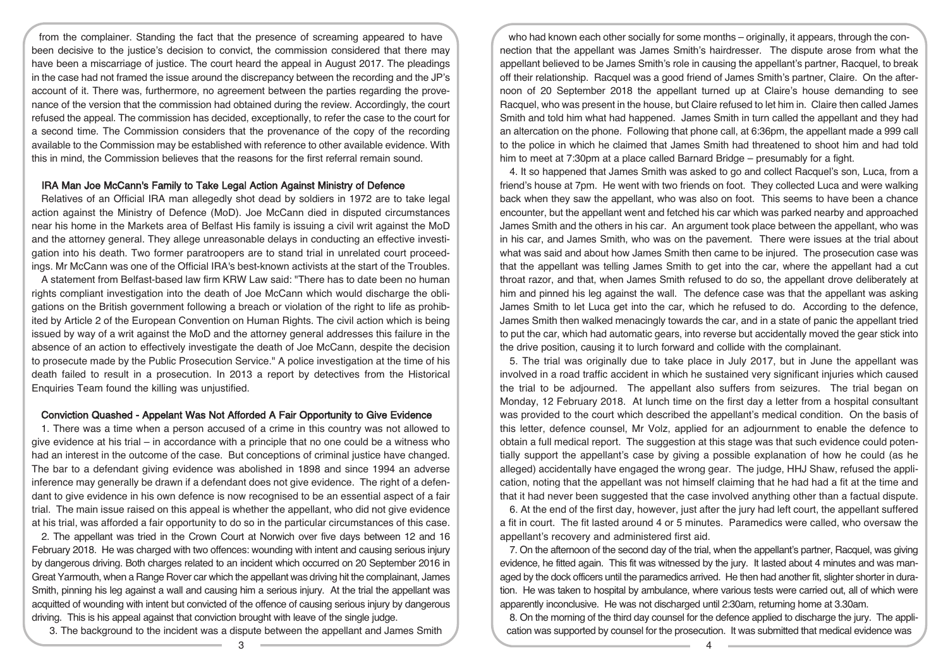from the complainer. Standing the fact that the presence of screaming appeared to have been decisive to the justice's decision to convict, the commission considered that there may have been a miscarriage of justice. The court heard the appeal in August 2017. The pleadings in the case had not framed the issue around the discrepancy between the recording and the JP's account of it. There was, furthermore, no agreement between the parties regarding the provenance of the version that the commission had obtained during the review. Accordingly, the court refused the appeal. The commission has decided, exceptionally, to refer the case to the court for a second time. The Commission considers that the provenance of the copy of the recording available to the Commission may be established with reference to other available evidence. With this in mind, the Commission believes that the reasons for the first referral remain sound.

#### IRA Man Joe McCann's Family to Take Legal Action Against Ministry of Defence

Relatives of an Official IRA man allegedly shot dead by soldiers in 1972 are to take legal action against the Ministry of Defence (MoD). Joe McCann died in disputed circumstances near his home in the Markets area of Belfast His family is issuing a civil writ against the MoD and the attorney general. They allege unreasonable delays in conducting an effective investigation into his death. Two former paratroopers are to stand trial in unrelated court proceedings. Mr McCann was one of the Official IRA's best-known activists at the start of the Troubles.

A statement from Belfast-based law firm KRW Law said: "There has to date been no human rights compliant investigation into the death of Joe McCann which would discharge the obligations on the British government following a breach or violation of the right to life as prohibited by Article 2 of the European Convention on Human Rights. The civil action which is being issued by way of a writ against the MoD and the attorney general addresses this failure in the absence of an action to effectively investigate the death of Joe McCann, despite the decision to prosecute made by the Public Prosecution Service." A police investigation at the time of his death failed to result in a prosecution. In 2013 a report by detectives from the Historical Enquiries Team found the killing was unjustified.

#### Conviction Quashed - Appelant Was Not Afforded A Fair Opportunity to Give Evidence

1. There was a time when a person accused of a crime in this country was not allowed to give evidence at his trial – in accordance with a principle that no one could be a witness who had an interest in the outcome of the case. But conceptions of criminal justice have changed. The bar to a defendant giving evidence was abolished in 1898 and since 1994 an adverse inference may generally be drawn if a defendant does not give evidence. The right of a defendant to give evidence in his own defence is now recognised to be an essential aspect of a fair trial. The main issue raised on this appeal is whether the appellant, who did not give evidence at his trial, was afforded a fair opportunity to do so in the particular circumstances of this case.

2. The appellant was tried in the Crown Court at Norwich over five days between 12 and 16 February 2018. He was charged with two offences: wounding with intent and causing serious injury by dangerous driving. Both charges related to an incident which occurred on 20 September 2016 in Great Yarmouth, when a Range Rover car which the appellant was driving hit the complainant, James Smith, pinning his leg against a wall and causing him a serious injury. At the trial the appellant was acquitted of wounding with intent but convicted of the offence of causing serious injury by dangerous driving. This is his appeal against that conviction brought with leave of the single judge.

3. The background to the incident was a dispute between the appellant and James Smith

who had known each other socially for some months – originally, it appears, through the connection that the appellant was James Smith's hairdresser. The dispute arose from what the appellant believed to be James Smith's role in causing the appellant's partner, Racquel, to break off their relationship. Racquel was a good friend of James Smith's partner, Claire. On the afternoon of 20 September 2018 the appellant turned up at Claire's house demanding to see Racquel, who was present in the house, but Claire refused to let him in. Claire then called James Smith and told him what had happened. James Smith in turn called the appellant and they had an altercation on the phone. Following that phone call, at 6:36pm, the appellant made a 999 call to the police in which he claimed that James Smith had threatened to shoot him and had told him to meet at 7:30pm at a place called Barnard Bridge – presumably for a fight.

4. It so happened that James Smith was asked to go and collect Racquel's son, Luca, from a friend's house at 7pm. He went with two friends on foot. They collected Luca and were walking back when they saw the appellant, who was also on foot. This seems to have been a chance encounter, but the appellant went and fetched his car which was parked nearby and approached James Smith and the others in his car. An argument took place between the appellant, who was in his car, and James Smith, who was on the pavement. There were issues at the trial about what was said and about how James Smith then came to be injured. The prosecution case was that the appellant was telling James Smith to get into the car, where the appellant had a cut throat razor, and that, when James Smith refused to do so, the appellant drove deliberately at him and pinned his leg against the wall. The defence case was that the appellant was asking James Smith to let Luca get into the car, which he refused to do. According to the defence, James Smith then walked menacingly towards the car, and in a state of panic the appellant tried to put the car, which had automatic gears, into reverse but accidentally moved the gear stick into the drive position, causing it to lurch forward and collide with the complainant.

5. The trial was originally due to take place in July 2017, but in June the appellant was involved in a road traffic accident in which he sustained very significant injuries which caused the trial to be adjourned. The appellant also suffers from seizures. The trial began on Monday, 12 February 2018. At lunch time on the first day a letter from a hospital consultant was provided to the court which described the appellant's medical condition. On the basis of this letter, defence counsel, Mr Volz, applied for an adjournment to enable the defence to obtain a full medical report. The suggestion at this stage was that such evidence could potentially support the appellant's case by giving a possible explanation of how he could (as he alleged) accidentally have engaged the wrong gear. The judge, HHJ Shaw, refused the application, noting that the appellant was not himself claiming that he had had a fit at the time and that it had never been suggested that the case involved anything other than a factual dispute.

6. At the end of the first day, however, just after the jury had left court, the appellant suffered a fit in court. The fit lasted around 4 or 5 minutes. Paramedics were called, who oversaw the appellant's recovery and administered first aid.

7. On the afternoon of the second day of the trial, when the appellant's partner, Racquel, was giving evidence, he fitted again. This fit was witnessed by the jury. It lasted about 4 minutes and was managed by the dock officers until the paramedics arrived. He then had another fit, slighter shorter in duration. He was taken to hospital by ambulance, where various tests were carried out, all of which were apparently inconclusive. He was not discharged until 2:30am, returning home at 3.30am.

8. On the morning of the third day counsel for the defence applied to discharge the jury. The application was supported by counsel for the prosecution. It was submitted that medical evidence was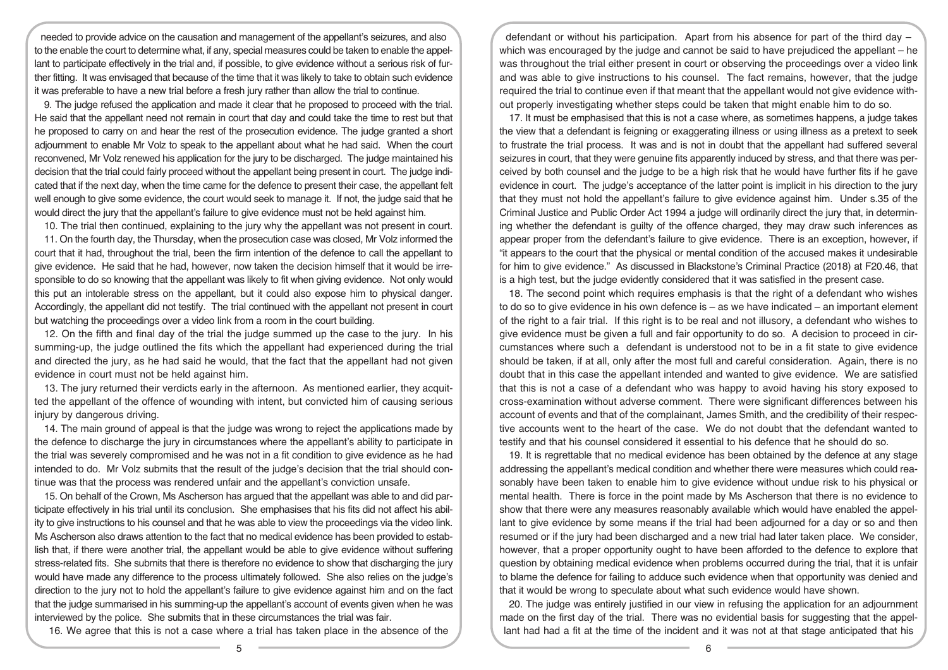needed to provide advice on the causation and management of the appellant's seizures, and also to the enable the court to determine what, if any, special measures could be taken to enable the appellant to participate effectively in the trial and, if possible, to give evidence without a serious risk of further fitting. It was envisaged that because of the time that it was likely to take to obtain such evidence it was preferable to have a new trial before a fresh jury rather than allow the trial to continue.

9. The judge refused the application and made it clear that he proposed to proceed with the trial. He said that the appellant need not remain in court that day and could take the time to rest but that he proposed to carry on and hear the rest of the prosecution evidence. The judge granted a short adjournment to enable Mr Volz to speak to the appellant about what he had said. When the court reconvened, Mr Volz renewed his application for the jury to be discharged. The judge maintained his decision that the trial could fairly proceed without the appellant being present in court. The judge indicated that if the next day, when the time came for the defence to present their case, the appellant felt well enough to give some evidence, the court would seek to manage it. If not, the judge said that he would direct the jury that the appellant's failure to give evidence must not be held against him.

10. The trial then continued, explaining to the jury why the appellant was not present in court.

11. On the fourth day, the Thursday, when the prosecution case was closed, Mr Volz informed the court that it had, throughout the trial, been the firm intention of the defence to call the appellant to give evidence. He said that he had, however, now taken the decision himself that it would be irresponsible to do so knowing that the appellant was likely to fit when giving evidence. Not only would this put an intolerable stress on the appellant, but it could also expose him to physical danger. Accordingly, the appellant did not testify. The trial continued with the appellant not present in court but watching the proceedings over a video link from a room in the court building.

12. On the fifth and final day of the trial the judge summed up the case to the jury. In his summing-up, the judge outlined the fits which the appellant had experienced during the trial and directed the jury, as he had said he would, that the fact that the appellant had not given evidence in court must not be held against him.

13. The jury returned their verdicts early in the afternoon. As mentioned earlier, they acquitted the appellant of the offence of wounding with intent, but convicted him of causing serious injury by dangerous driving.

14. The main ground of appeal is that the judge was wrong to reject the applications made by the defence to discharge the jury in circumstances where the appellant's ability to participate in the trial was severely compromised and he was not in a fit condition to give evidence as he had intended to do. Mr Volz submits that the result of the judge's decision that the trial should continue was that the process was rendered unfair and the appellant's conviction unsafe.

15. On behalf of the Crown, Ms Ascherson has argued that the appellant was able to and did participate effectively in his trial until its conclusion. She emphasises that his fits did not affect his ability to give instructions to his counsel and that he was able to view the proceedings via the video link. Ms Ascherson also draws attention to the fact that no medical evidence has been provided to establish that, if there were another trial, the appellant would be able to give evidence without suffering stress-related fits. She submits that there is therefore no evidence to show that discharging the jury would have made any difference to the process ultimately followed. She also relies on the judge's direction to the jury not to hold the appellant's failure to give evidence against him and on the fact that the judge summarised in his summing-up the appellant's account of events given when he was interviewed by the police. She submits that in these circumstances the trial was fair.

16. We agree that this is not a case where a trial has taken place in the absence of the

defendant or without his participation. Apart from his absence for part of the third day – which was encouraged by the judge and cannot be said to have prejudiced the appellant – he was throughout the trial either present in court or observing the proceedings over a video link and was able to give instructions to his counsel. The fact remains, however, that the judge required the trial to continue even if that meant that the appellant would not give evidence without properly investigating whether steps could be taken that might enable him to do so.

17. It must be emphasised that this is not a case where, as sometimes happens, a judge takes the view that a defendant is feigning or exaggerating illness or using illness as a pretext to seek to frustrate the trial process. It was and is not in doubt that the appellant had suffered several seizures in court, that they were genuine fits apparently induced by stress, and that there was perceived by both counsel and the judge to be a high risk that he would have further fits if he gave evidence in court. The judge's acceptance of the latter point is implicit in his direction to the jury that they must not hold the appellant's failure to give evidence against him. Under s.35 of the Criminal Justice and Public Order Act 1994 a judge will ordinarily direct the jury that, in determining whether the defendant is guilty of the offence charged, they may draw such inferences as appear proper from the defendant's failure to give evidence. There is an exception, however, if "it appears to the court that the physical or mental condition of the accused makes it undesirable for him to give evidence." As discussed in Blackstone's Criminal Practice (2018) at F20.46, that is a high test, but the judge evidently considered that it was satisfied in the present case.

18. The second point which requires emphasis is that the right of a defendant who wishes to do so to give evidence in his own defence is  $-$  as we have indicated  $-$  an important element of the right to a fair trial. If this right is to be real and not illusory, a defendant who wishes to give evidence must be given a full and fair opportunity to do so. A decision to proceed in circumstances where such a defendant is understood not to be in a fit state to give evidence should be taken, if at all, only after the most full and careful consideration. Again, there is no doubt that in this case the appellant intended and wanted to give evidence. We are satisfied that this is not a case of a defendant who was happy to avoid having his story exposed to cross-examination without adverse comment. There were significant differences between his account of events and that of the complainant, James Smith, and the credibility of their respective accounts went to the heart of the case. We do not doubt that the defendant wanted to testify and that his counsel considered it essential to his defence that he should do so.

19. It is regrettable that no medical evidence has been obtained by the defence at any stage addressing the appellant's medical condition and whether there were measures which could reasonably have been taken to enable him to give evidence without undue risk to his physical or mental health. There is force in the point made by Ms Ascherson that there is no evidence to show that there were any measures reasonably available which would have enabled the appellant to give evidence by some means if the trial had been adjourned for a day or so and then resumed or if the jury had been discharged and a new trial had later taken place. We consider, however, that a proper opportunity ought to have been afforded to the defence to explore that question by obtaining medical evidence when problems occurred during the trial, that it is unfair to blame the defence for failing to adduce such evidence when that opportunity was denied and that it would be wrong to speculate about what such evidence would have shown.

20. The judge was entirely justified in our view in refusing the application for an adjournment made on the first day of the trial. There was no evidential basis for suggesting that the appellant had had a fit at the time of the incident and it was not at that stage anticipated that his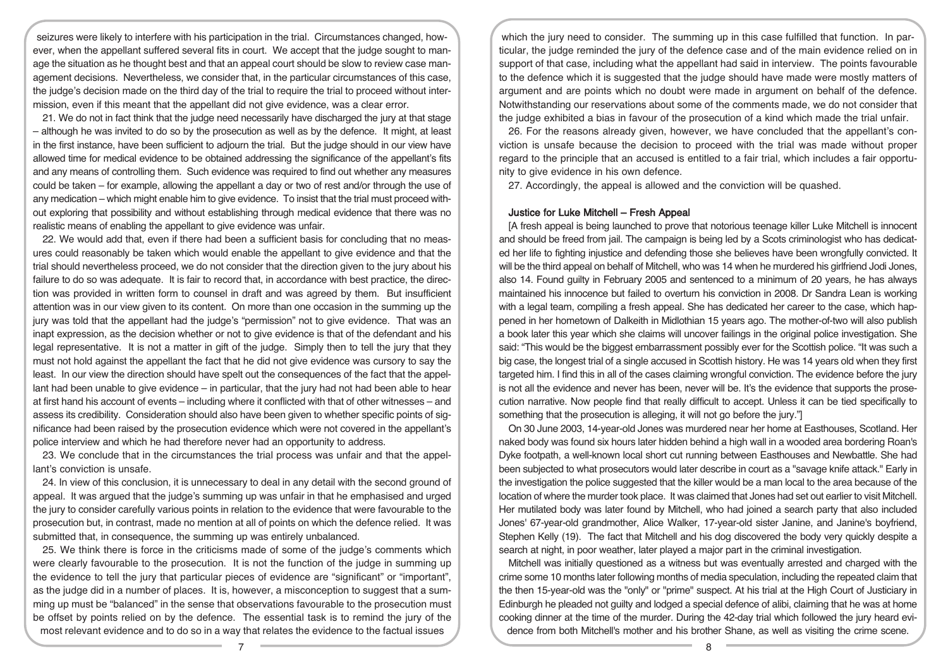seizures were likely to interfere with his participation in the trial. Circumstances changed, however, when the appellant suffered several fits in court. We accept that the judge sought to manage the situation as he thought best and that an appeal court should be slow to review case management decisions. Nevertheless, we consider that, in the particular circumstances of this case, the judge's decision made on the third day of the trial to require the trial to proceed without intermission, even if this meant that the appellant did not give evidence, was a clear error.

21. We do not in fact think that the judge need necessarily have discharged the jury at that stage – although he was invited to do so by the prosecution as well as by the defence. It might, at least in the first instance, have been sufficient to adjourn the trial. But the judge should in our view have allowed time for medical evidence to be obtained addressing the significance of the appellant's fits and any means of controlling them. Such evidence was required to find out whether any measures could be taken – for example, allowing the appellant a day or two of rest and/or through the use of any medication – which might enable him to give evidence. To insist that the trial must proceed without exploring that possibility and without establishing through medical evidence that there was no realistic means of enabling the appellant to give evidence was unfair.

22. We would add that, even if there had been a sufficient basis for concluding that no measures could reasonably be taken which would enable the appellant to give evidence and that the trial should nevertheless proceed, we do not consider that the direction given to the jury about his failure to do so was adequate. It is fair to record that, in accordance with best practice, the direction was provided in written form to counsel in draft and was agreed by them. But insufficient attention was in our view given to its content. On more than one occasion in the summing up the jury was told that the appellant had the judge's "permission" not to give evidence. That was an inapt expression, as the decision whether or not to give evidence is that of the defendant and his legal representative. It is not a matter in gift of the judge. Simply then to tell the jury that they must not hold against the appellant the fact that he did not give evidence was cursory to say the least. In our view the direction should have spelt out the consequences of the fact that the appellant had been unable to give evidence – in particular, that the jury had not had been able to hear at first hand his account of events – including where it conflicted with that of other witnesses – and assess its credibility. Consideration should also have been given to whether specific points of significance had been raised by the prosecution evidence which were not covered in the appellant's police interview and which he had therefore never had an opportunity to address.

23. We conclude that in the circumstances the trial process was unfair and that the appellant's conviction is unsafe.

24. In view of this conclusion, it is unnecessary to deal in any detail with the second ground of appeal. It was argued that the judge's summing up was unfair in that he emphasised and urged the jury to consider carefully various points in relation to the evidence that were favourable to the prosecution but, in contrast, made no mention at all of points on which the defence relied. It was submitted that, in consequence, the summing up was entirely unbalanced.

25. We think there is force in the criticisms made of some of the judge's comments which were clearly favourable to the prosecution. It is not the function of the judge in summing up the evidence to tell the jury that particular pieces of evidence are "significant" or "important", as the judge did in a number of places. It is, however, a misconception to suggest that a summing up must be "balanced" in the sense that observations favourable to the prosecution must be offset by points relied on by the defence. The essential task is to remind the jury of the most relevant evidence and to do so in a way that relates the evidence to the factual issues

which the jury need to consider. The summing up in this case fulfilled that function. In particular, the judge reminded the jury of the defence case and of the main evidence relied on in support of that case, including what the appellant had said in interview. The points favourable to the defence which it is suggested that the judge should have made were mostly matters of argument and are points which no doubt were made in argument on behalf of the defence. Notwithstanding our reservations about some of the comments made, we do not consider that the judge exhibited a bias in favour of the prosecution of a kind which made the trial unfair.

26. For the reasons already given, however, we have concluded that the appellant's conviction is unsafe because the decision to proceed with the trial was made without proper regard to the principle that an accused is entitled to a fair trial, which includes a fair opportunity to give evidence in his own defence.

27. Accordingly, the appeal is allowed and the conviction will be quashed.

#### Justice for Luke Mitchell – Fresh Appeal

[A fresh appeal is being launched to prove that notorious teenage killer Luke Mitchell is innocent and should be freed from jail. The campaign is being led by a Scots criminologist who has dedicated her life to fighting injustice and defending those she believes have been wrongfully convicted. It will be the third appeal on behalf of Mitchell, who was 14 when he murdered his girlfriend Jodi Jones, also 14. Found guilty in February 2005 and sentenced to a minimum of 20 years, he has always maintained his innocence but failed to overturn his conviction in 2008. Dr Sandra Lean is working with a legal team, compiling a fresh appeal. She has dedicated her career to the case, which happened in her hometown of Dalkeith in Midlothian 15 years ago. The mother-of-two will also publish a book later this year which she claims will uncover failings in the original police investigation. She said: "This would be the biggest embarrassment possibly ever for the Scottish police. "It was such a big case, the longest trial of a single accused in Scottish history. He was 14 years old when they first targeted him. I find this in all of the cases claiming wrongful conviction. The evidence before the jury is not all the evidence and never has been, never will be. It's the evidence that supports the prosecution narrative. Now people find that really difficult to accept. Unless it can be tied specifically to something that the prosecution is alleging, it will not go before the jury."]

On 30 June 2003, 14-year-old Jones was murdered near her home at Easthouses, Scotland. Her naked body was found six hours later hidden behind a high wall in a wooded area bordering Roan's Dyke footpath, a well-known local short cut running between Easthouses and Newbattle. She had been subjected to what prosecutors would later describe in court as a "savage knife attack." Early in the investigation the police suggested that the killer would be a man local to the area because of the location of where the murder took place. It was claimed that Jones had set out earlier to visit Mitchell. Her mutilated body was later found by Mitchell, who had joined a search party that also included Jones' 67-year-old grandmother, Alice Walker, 17-year-old sister Janine, and Janine's boyfriend, Stephen Kelly (19). The fact that Mitchell and his dog discovered the body very quickly despite a search at night, in poor weather, later played a major part in the criminal investigation.

Mitchell was initially questioned as a witness but was eventually arrested and charged with the crime some 10 months later following months of media speculation, including the repeated claim that the then 15-year-old was the "only" or "prime" suspect. At his trial at the High Court of Justiciary in Edinburgh he pleaded not guilty and lodged a special defence of alibi, claiming that he was at home cooking dinner at the time of the murder. During the 42-day trial which followed the jury heard evidence from both Mitchell's mother and his brother Shane, as well as visiting the crime scene.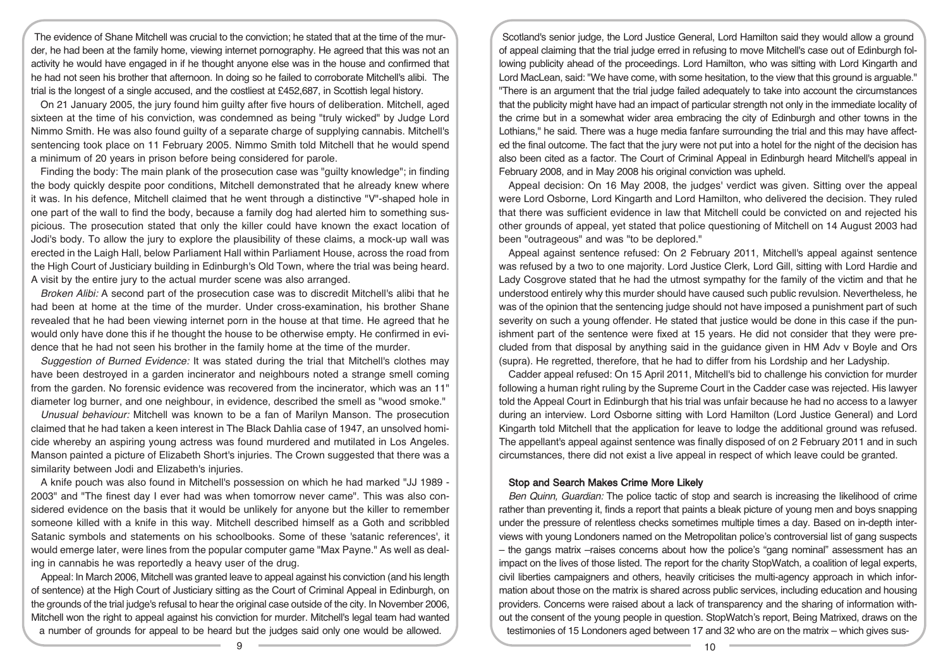The evidence of Shane Mitchell was crucial to the conviction; he stated that at the time of the murder, he had been at the family home, viewing internet pornography. He agreed that this was not an activity he would have engaged in if he thought anyone else was in the house and confirmed that he had not seen his brother that afternoon. In doing so he failed to corroborate Mitchell's alibi. The trial is the longest of a single accused, and the costliest at £452,687, in Scottish legal history.

On 21 January 2005, the jury found him guilty after five hours of deliberation. Mitchell, aged sixteen at the time of his conviction, was condemned as being "truly wicked" by Judge Lord Nimmo Smith. He was also found guilty of a separate charge of supplying cannabis. Mitchell's sentencing took place on 11 February 2005. Nimmo Smith told Mitchell that he would spend a minimum of 20 years in prison before being considered for parole.

Finding the body: The main plank of the prosecution case was "guilty knowledge"; in finding the body quickly despite poor conditions, Mitchell demonstrated that he already knew where it was. In his defence, Mitchell claimed that he went through a distinctive "V"-shaped hole in one part of the wall to find the body, because a family dog had alerted him to something suspicious. The prosecution stated that only the killer could have known the exact location of Jodi's body. To allow the jury to explore the plausibility of these claims, a mock-up wall was erected in the Laigh Hall, below Parliament Hall within Parliament House, across the road from the High Court of Justiciary building in Edinburgh's Old Town, where the trial was being heard. A visit by the entire jury to the actual murder scene was also arranged.

Broken Alibi: A second part of the prosecution case was to discredit Mitchell's alibi that he had been at home at the time of the murder. Under cross-examination, his brother Shane revealed that he had been viewing internet porn in the house at that time. He agreed that he would only have done this if he thought the house to be otherwise empty. He confirmed in evidence that he had not seen his brother in the family home at the time of the murder.

Suggestion of Burned Evidence: It was stated during the trial that Mitchell's clothes may have been destroyed in a garden incinerator and neighbours noted a strange smell coming from the garden. No forensic evidence was recovered from the incinerator, which was an 11" diameter log burner, and one neighbour, in evidence, described the smell as "wood smoke."

Unusual behaviour: Mitchell was known to be a fan of Marilyn Manson. The prosecution claimed that he had taken a keen interest in The Black Dahlia case of 1947, an unsolved homicide whereby an aspiring young actress was found murdered and mutilated in Los Angeles. Manson painted a picture of Elizabeth Short's injuries. The Crown suggested that there was a similarity between Jodi and Elizabeth's injuries.

A knife pouch was also found in Mitchell's possession on which he had marked "JJ 1989 - 2003" and "The finest day I ever had was when tomorrow never came". This was also considered evidence on the basis that it would be unlikely for anyone but the killer to remember someone killed with a knife in this way. Mitchell described himself as a Goth and scribbled Satanic symbols and statements on his schoolbooks. Some of these 'satanic references', it would emerge later, were lines from the popular computer game "Max Payne." As well as dealing in cannabis he was reportedly a heavy user of the drug.

Appeal: In March 2006, Mitchell was granted leave to appeal against his conviction (and his length of sentence) at the High Court of Justiciary sitting as the Court of Criminal Appeal in Edinburgh, on the grounds of the trial judge's refusal to hear the original case outside of the city. In November 2006, Mitchell won the right to appeal against his conviction for murder. Mitchell's legal team had wanted a number of grounds for appeal to be heard but the judges said only one would be allowed.

Scotland's senior judge, the Lord Justice General, Lord Hamilton said they would allow a ground of appeal claiming that the trial judge erred in refusing to move Mitchell's case out of Edinburgh following publicity ahead of the proceedings. Lord Hamilton, who was sitting with Lord Kingarth and Lord MacLean, said: "We have come, with some hesitation, to the view that this ground is arguable." "There is an argument that the trial judge failed adequately to take into account the circumstances that the publicity might have had an impact of particular strength not only in the immediate locality of the crime but in a somewhat wider area embracing the city of Edinburgh and other towns in the Lothians," he said. There was a huge media fanfare surrounding the trial and this may have affected the final outcome. The fact that the jury were not put into a hotel for the night of the decision has also been cited as a factor. The Court of Criminal Appeal in Edinburgh heard Mitchell's appeal in February 2008, and in May 2008 his original conviction was upheld.

Appeal decision: On 16 May 2008, the judges' verdict was given. Sitting over the appeal were Lord Osborne, Lord Kingarth and Lord Hamilton, who delivered the decision. They ruled that there was sufficient evidence in law that Mitchell could be convicted on and rejected his other grounds of appeal, yet stated that police questioning of Mitchell on 14 August 2003 had been "outrageous" and was "to be deplored."

Appeal against sentence refused: On 2 February 2011, Mitchell's appeal against sentence was refused by a two to one majority. Lord Justice Clerk, Lord Gill, sitting with Lord Hardie and Lady Cosgrove stated that he had the utmost sympathy for the family of the victim and that he understood entirely why this murder should have caused such public revulsion. Nevertheless, he was of the opinion that the sentencing judge should not have imposed a punishment part of such severity on such a young offender. He stated that justice would be done in this case if the punishment part of the sentence were fixed at 15 years. He did not consider that they were precluded from that disposal by anything said in the guidance given in HM Adv v Boyle and Ors (supra). He regretted, therefore, that he had to differ from his Lordship and her Ladyship.

Cadder appeal refused: On 15 April 2011, Mitchell's bid to challenge his conviction for murder following a human right ruling by the Supreme Court in the Cadder case was rejected. His lawyer told the Appeal Court in Edinburgh that his trial was unfair because he had no access to a lawyer during an interview. Lord Osborne sitting with Lord Hamilton (Lord Justice General) and Lord Kingarth told Mitchell that the application for leave to lodge the additional ground was refused. The appellant's appeal against sentence was finally disposed of on 2 February 2011 and in such circumstances, there did not exist a live appeal in respect of which leave could be granted.

#### Stop and Search Makes Crime More Likely

Ben Quinn, Guardian: The police tactic of stop and search is increasing the likelihood of crime rather than preventing it, finds a report that paints a bleak picture of young men and boys snapping under the pressure of relentless checks sometimes multiple times a day. Based on in-depth interviews with young Londoners named on the Metropolitan police's controversial list of gang suspects – the gangs matrix –raises concerns about how the police's "gang nominal" assessment has an impact on the lives of those listed. The report for the charity StopWatch, a coalition of legal experts, civil liberties campaigners and others, heavily criticises the multi-agency approach in which information about those on the matrix is shared across public services, including education and housing providers. Concerns were raised about a lack of transparency and the sharing of information without the consent of the young people in question. StopWatch's report, Being Matrixed, draws on the testimonies of 15 Londoners aged between 17 and 32 who are on the matrix – which gives sus